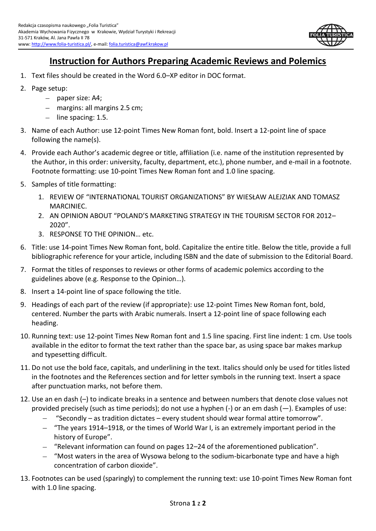

## **Instruction for Authors Preparing Academic Reviews and Polemics**

- 1. Text files should be created in the Word 6.0–XP editor in DOC format.
- 2. Page setup:
	- paper size: A4;
	- margins: all margins 2.5 cm;
	- $-$  line spacing: 1.5.
- 3. Name of each Author: use 12-point Times New Roman font, bold. Insert a 12-point line of space following the name(s).
- 4. Provide each Author's academic degree or title, affiliation (i.e. name of the institution represented by the Author, in this order: university, faculty, department, etc.), phone number, and e-mail in a footnote. Footnote formatting: use 10-point Times New Roman font and 1.0 line spacing.
- 5. Samples of title formatting:
	- 1. REVIEW OF "INTERNATIONAL TOURIST ORGANIZATIONS" BY WIESŁAW ALEJZIAK AND TOMASZ MARCINIEC.
	- 2. AN OPINION ABOUT "POLAND'S MARKETING STRATEGY IN THE TOURISM SECTOR FOR 2012– 2020".
	- 3. RESPONSE TO THE OPINION… etc.
- 6. Title: use 14-point Times New Roman font, bold. Capitalize the entire title. Below the title, provide a full bibliographic reference for your article, including ISBN and the date of submission to the Editorial Board.
- 7. Format the titles of responses to reviews or other forms of academic polemics according to the guidelines above (e.g. Response to the Opinion…).
- 8. Insert a 14-point line of space following the title.
- 9. Headings of each part of the review (if appropriate): use 12-point Times New Roman font, bold, centered. Number the parts with Arabic numerals. Insert a 12-point line of space following each heading.
- 10. Running text: use 12-point Times New Roman font and 1.5 line spacing. First line indent: 1 cm. Use tools available in the editor to format the text rather than the space bar, as using space bar makes markup and typesetting difficult.
- 11. Do not use the bold face, capitals, and underlining in the text. Italics should only be used for titles listed in the footnotes and the References section and for letter symbols in the running text. Insert a space after punctuation marks, not before them.
- 12. Use an en dash (–) to indicate breaks in a sentence and between numbers that denote close values not provided precisely (such as time periods); do not use a hyphen (-) or an em dash (—). Examples of use:
	- "Secondly as tradition dictates every student should wear formal attire tomorrow".
	- "The years 1914–1918, or the times of World War I, is an extremely important period in the history of Europe".
	- "Relevant information can found on pages 12–24 of the aforementioned publication".
	- "Most waters in the area of Wysowa belong to the sodium-bicarbonate type and have a high concentration of carbon dioxide".
- 13. Footnotes can be used (sparingly) to complement the running text: use 10-point Times New Roman font with 1.0 line spacing.